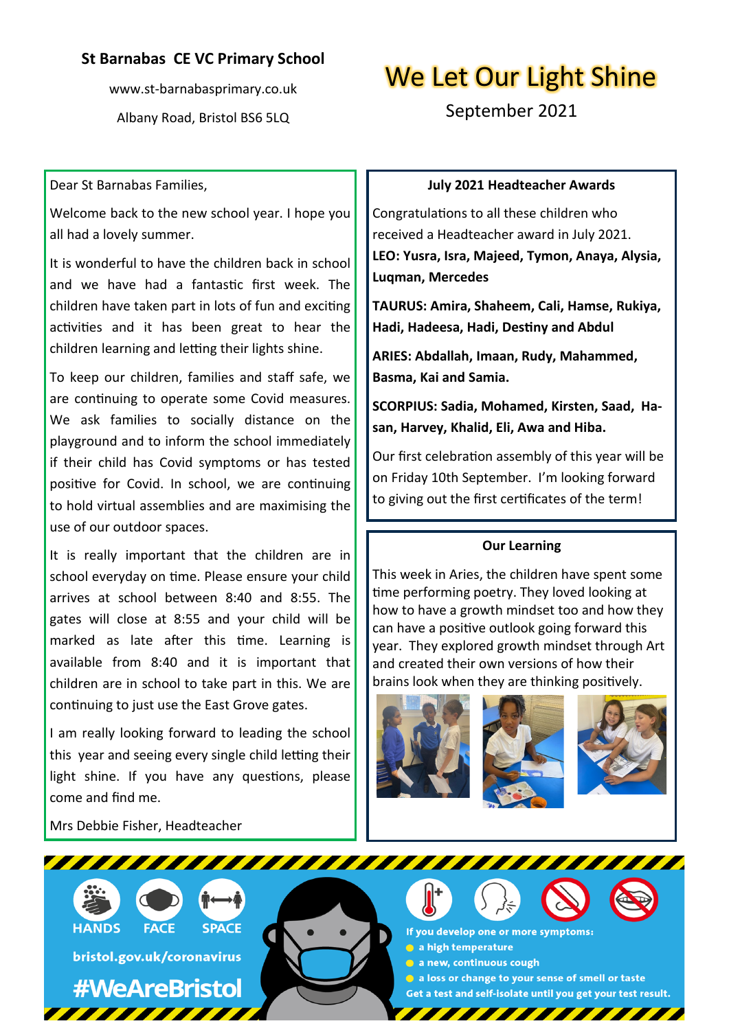## **St Barnabas CE VC Primary School**

www.st-barnabasprimary.co.uk Albany Road, Bristol BS6 5LQ

# We Let Our Light Shine

September 2021

#### Dear St Barnabas Families,

Welcome back to the new school year. I hope you all had a lovely summer.

It is wonderful to have the children back in school and we have had a fantastic first week. The children have taken part in lots of fun and exciting activities and it has been great to hear the children learning and letting their lights shine.

To keep our children, families and staff safe, we are continuing to operate some Covid measures. We ask families to socially distance on the playground and to inform the school immediately if their child has Covid symptoms or has tested positive for Covid. In school, we are continuing to hold virtual assemblies and are maximising the use of our outdoor spaces.

It is really important that the children are in school everyday on time. Please ensure your child arrives at school between 8:40 and 8:55. The gates will close at 8:55 and your child will be marked as late after this time. Learning is available from 8:40 and it is important that children are in school to take part in this. We are continuing to just use the East Grove gates.

I am really looking forward to leading the school this year and seeing every single child letting their light shine. If you have any questions, please come and find me.

Mrs Debbie Fisher, Headteacher

#### **July 2021 Headteacher Awards**

Congratulations to all these children who received a Headteacher award in July 2021. **LEO: Yusra, Isra, Majeed, Tymon, Anaya, Alysia, Luqman, Mercedes**

**TAURUS: Amira, Shaheem, Cali, Hamse, Rukiya, Hadi, Hadeesa, Hadi, Destiny and Abdul**

**ARIES: Abdallah, Imaan, Rudy, Mahammed, Basma, Kai and Samia.**

**SCORPIUS: Sadia, Mohamed, Kirsten, Saad, Hasan, Harvey, Khalid, Eli, Awa and Hiba.**

Our first celebration assembly of this year will be on Friday 10th September. I'm looking forward to giving out the first certificates of the term!

#### **Our Learning**

This week in Aries, the children have spent some time performing poetry. They loved looking at how to have a growth mindset too and how they can have a positive outlook going forward this year. They explored growth mindset through Art and created their own versions of how their brains look when they are thinking positively.